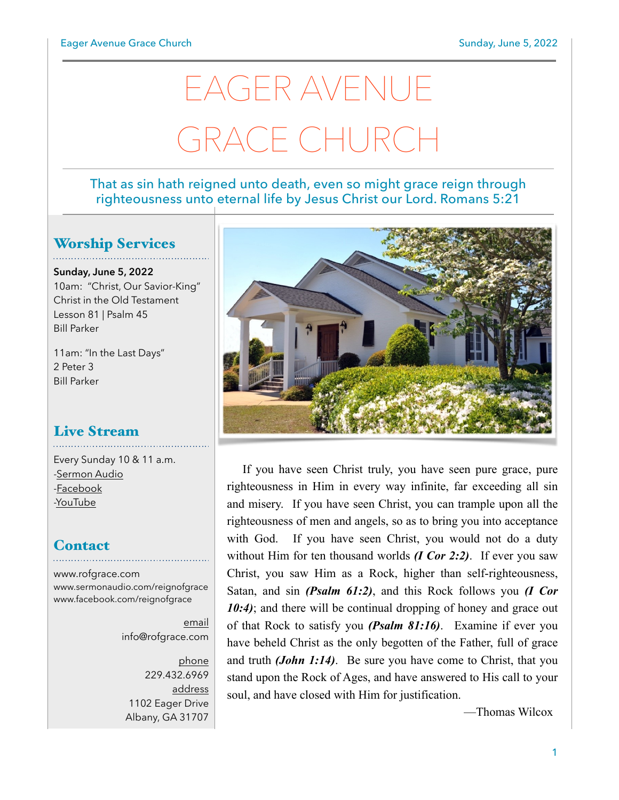# EAGER AVENUE GRACE CHURC

#### That as sin hath reigned unto death, even so might grace reign through righteousness unto eternal life by Jesus Christ our Lord. Romans 5:21

### Worship Services

**Sunday, June 5, 2022** 10am: "Christ, Our Savior-King" Christ in the Old Testament Lesson 81 | Psalm 45 Bill Parker

11am: "In the Last Days" 2 Peter 3 Bill Parker

## Live Stream

Every Sunday 10 & 11 a.m. [-Sermon Audio](http://sermonaudio.com/reignofgrace) [-Facebook](http://facebook.com/eageravechurch) [-YouTube](http://youtube.com/channel/UCu_lTHCIUOK0cka9AjFV_5Q/live)

#### **Contact**

[www.rofgrace.com](http://www.rofgrace.com) [www.sermonaudio.com/reignofgrace](http://www.sermonaudio.com/reignofgrace) [www.facebook.com/reignofgrace](http://www.facebook.com/reignofgrace)

> email [info@rofgrace.com](mailto:info@rofgrace.com?subject=)

phone 229.432.6969 address 1102 Eager Drive Albany, GA 31707



If you have seen Christ truly, you have seen pure grace, pure righteousness in Him in every way infinite, far exceeding all sin and misery. If you have seen Christ, you can trample upon all the righteousness of men and angels, so as to bring you into acceptance with God. If you have seen Christ, you would not do a duty without Him for ten thousand worlds *(I Cor 2:2)*. If ever you saw Christ, you saw Him as a Rock, higher than self-righteousness, Satan, and sin *(Psalm 61:2)*, and this Rock follows you *(I Cor*  10:4); and there will be continual dropping of honey and grace out of that Rock to satisfy you *(Psalm 81:16)*. Examine if ever you have beheld Christ as the only begotten of the Father, full of grace and truth *(John 1:14)*. Be sure you have come to Christ, that you stand upon the Rock of Ages, and have answered to His call to your soul, and have closed with Him for justification.

—Thomas Wilcox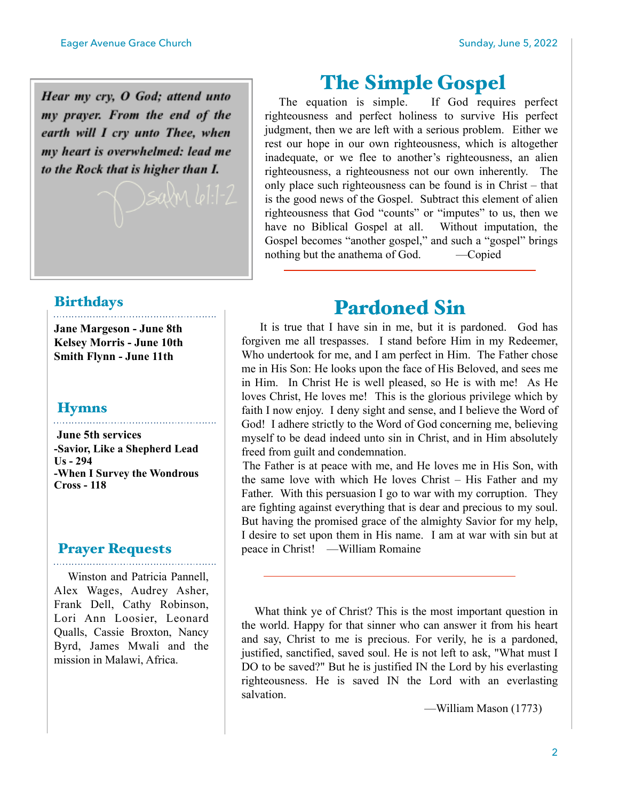Hear my cry, O God; attend unto my prayer. From the end of the earth will I cry unto Thee, when my heart is overwhelmed: lead me to the Rock that is higher than I.

## The Simple Gospel

 The equation is simple. If God requires perfect righteousness and perfect holiness to survive His perfect judgment, then we are left with a serious problem. Either we rest our hope in our own righteousness, which is altogether inadequate, or we flee to another's righteousness, an alien righteousness, a righteousness not our own inherently. The only place such righteousness can be found is in Christ – that is the good news of the Gospel. Subtract this element of alien righteousness that God "counts" or "imputes" to us, then we have no Biblical Gospel at all. Without imputation, the Gospel becomes "another gospel," and such a "gospel" brings nothing but the anathema of God. —Copied

## Birthdays

**Jane Margeson - June 8th Kelsey Morris - June 10th Smith Flynn - June 11th** 

. . . . . . . . . . . . . .

#### **Hymns**

 **June 5th services -Savior, Like a Shepherd Lead Us - 294 -When I Survey the Wondrous Cross - 118**

#### Prayer Requests

 Winston and Patricia Pannell, Alex Wages, Audrey Asher, Frank Dell, Cathy Robinson, Lori Ann Loosier, Leonard Qualls, Cassie Broxton, Nancy Byrd, James Mwali and the mission in Malawi, Africa.

## Pardoned Sin

 It is true that I have sin in me, but it is pardoned. God has forgiven me all trespasses. I stand before Him in my Redeemer, Who undertook for me, and I am perfect in Him. The Father chose me in His Son: He looks upon the face of His Beloved, and sees me in Him. In Christ He is well pleased, so He is with me! As He loves Christ, He loves me! This is the glorious privilege which by faith I now enjoy. I deny sight and sense, and I believe the Word of God! I adhere strictly to the Word of God concerning me, believing myself to be dead indeed unto sin in Christ, and in Him absolutely freed from guilt and condemnation.

 The Father is at peace with me, and He loves me in His Son, with the same love with which He loves Christ – His Father and my Father. With this persuasion I go to war with my corruption. They are fighting against everything that is dear and precious to my soul. But having the promised grace of the almighty Savior for my help, I desire to set upon them in His name. I am at war with sin but at peace in Christ! —William Romaine

 What think ye of Christ? This is the most important question in the world. Happy for that sinner who can answer it from his heart and say, Christ to me is precious. For verily, he is a pardoned, justified, sanctified, saved soul. He is not left to ask, "What must I DO to be saved?" But he is justified IN the Lord by his everlasting righteousness. He is saved IN the Lord with an everlasting salvation.

—William Mason (1773)